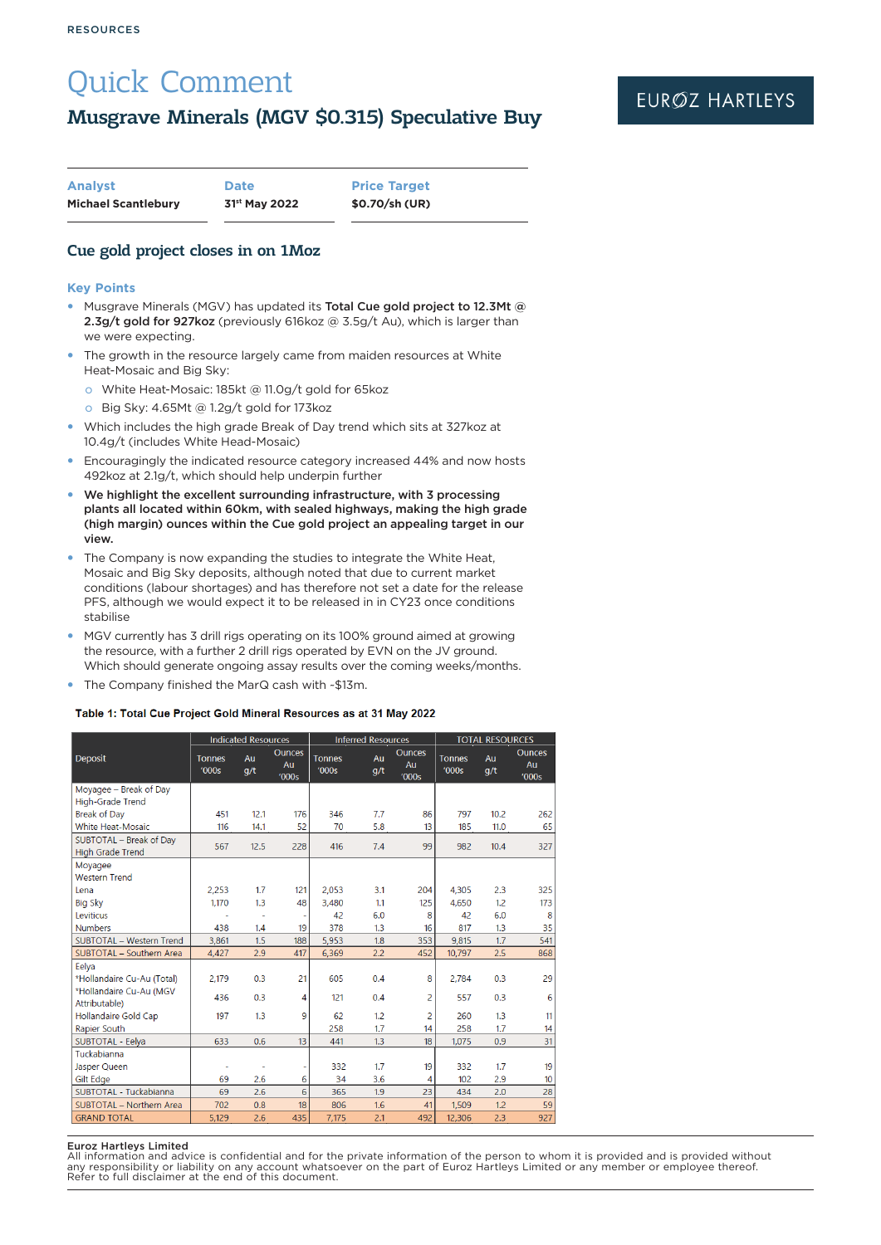# Quick Comment

# Musgrave Minerals (MGV \$0.315) Speculative Buy

| <b>Analyst</b>             | <b>Date</b>               | <b>Price Target</b> |
|----------------------------|---------------------------|---------------------|
| <b>Michael Scantlebury</b> | 31 <sup>st</sup> May 2022 | \$0.70/sh (UR)      |

# Cue gold project closes in on 1Moz

### **Key Points**

- Musgrave Minerals (MGV) has updated its Total Cue gold project to 12.3Mt @ 2.3g/t gold for 927koz (previously 616koz @ 3.5g/t Au), which is larger than we were expecting.
- The growth in the resource largely came from maiden resources at White Heat-Mosaic and Big Sky:
	- o White Heat-Mosaic: 185kt @ 11.0g/t gold for 65koz
	- o Big Sky: 4.65Mt @ 1.2g/t gold for 173koz
- y Which includes the high grade Break of Day trend which sits at 327koz at 10.4g/t (includes White Head-Mosaic)
- Encouragingly the indicated resource category increased 44% and now hosts 492koz at 2.1g/t, which should help underpin further
- We highlight the excellent surrounding infrastructure, with 3 processing plants all located within 60km, with sealed highways, making the high grade (high margin) ounces within the Cue gold project an appealing target in our view.
- The Company is now expanding the studies to integrate the White Heat, Mosaic and Big Sky deposits, although noted that due to current market conditions (labour shortages) and has therefore not set a date for the release PFS, although we would expect it to be released in in CY23 once conditions stabilise
- MGV currently has 3 drill rigs operating on its 100% ground aimed at growing the resource, with a further 2 drill rigs operated by EVN on the JV ground. Which should generate ongoing assay results over the coming weeks/months.
- The Company finished the MarQ cash with ~\$13m.

### Table 1: Total Cue Project Gold Mineral Resources as at 31 May 2022

|                                                    | <b>Indicated Resources</b> |           | <b>Inferred Resources</b>    |                        |           | <b>TOTAL RESOURCES</b>       |                        |           |                              |
|----------------------------------------------------|----------------------------|-----------|------------------------------|------------------------|-----------|------------------------------|------------------------|-----------|------------------------------|
| <b>Deposit</b>                                     | <b>Tonnes</b><br>'000s     | Au<br>q/t | <b>Ounces</b><br>Au<br>'000s | <b>Tonnes</b><br>'000s | Au<br>q/t | <b>Ounces</b><br>Au<br>'000s | <b>Tonnes</b><br>'000s | Au<br>g/t | <b>Ounces</b><br>Au<br>'000s |
| Moyagee - Break of Day                             |                            |           |                              |                        |           |                              |                        |           |                              |
| <b>High-Grade Trend</b>                            |                            |           |                              |                        |           |                              |                        |           |                              |
| <b>Break of Day</b>                                | 451                        | 12.1      | 176                          | 346                    | 7.7       | 86                           | 797                    | 10.2      | 262                          |
| <b>White Heat-Mosaic</b>                           | 116                        | 14.1      | 52                           | 70                     | 5.8       | 13                           | 185                    | 11.0      | 65                           |
| SUBTOTAL - Break of Day<br><b>High Grade Trend</b> | 567                        | 12.5      | 228                          | 416                    | 7.4       | 99                           | 982                    | 10.4      | 327                          |
| Moyagee                                            |                            |           |                              |                        |           |                              |                        |           |                              |
| <b>Western Trend</b>                               |                            |           |                              |                        |           |                              |                        |           |                              |
| Lena                                               | 2.253                      | 1.7       | 121                          | 2,053                  | 3.1       | 204                          | 4,305                  | 2.3       | 325                          |
| <b>Big Sky</b>                                     | 1,170                      | 1.3       | 48                           | 3.480                  | 1.1       | 125                          | 4.650                  | 1.2       | 173                          |
| <b>Leviticus</b>                                   |                            | $\sim$    |                              | 42                     | 6.0       | 8                            | 42                     | 6.0       | 8                            |
| <b>Numbers</b>                                     | 438                        | 1.4       | 19                           | 378                    | 1.3       | 16                           | 817                    | 1.3       | 35                           |
| <b>SUBTOTAL - Western Trend</b>                    | 3.861                      | 1.5       | 188                          | 5.953                  | 1.8       | 353                          | 9.815                  | 1.7       | 541                          |
| SUBTOTAL - Southern Area                           | 4,427                      | 2.9       | 417                          | 6,369                  | 2.2       | 452                          | 10,797                 | 2.5       | 868                          |
| Eelya                                              |                            |           |                              |                        |           |                              |                        |           |                              |
| *Hollandaire Cu-Au (Total)                         | 2,179                      | 0.3       | 21                           | 605                    | 0.4       | 8                            | 2,784                  | 0.3       | 29                           |
| *Hollandaire Cu-Au (MGV                            | 436                        | 0.3       | 4                            | 121                    | 0.4       | 2                            | 557                    | 0.3       | 6                            |
| Attributable)                                      |                            |           |                              |                        |           |                              |                        |           |                              |
| <b>Hollandaire Gold Cap</b>                        | 197                        | 1.3       | 9                            | 62                     | 1.2       | $\overline{2}$               | 260                    | 1.3       | 11                           |
| Rapier South                                       |                            |           |                              | 258                    | 1.7       | 14                           | 258                    | 1.7       | 14                           |
| SUBTOTAL - Eelya                                   | 633                        | 0.6       | 13                           | 441                    | 1.3       | 18                           | 1,075                  | 0.9       | 31                           |
| Tuckabianna                                        |                            |           |                              |                        |           |                              |                        |           |                              |
| Jasper Queen                                       | ٠                          | ٠         | ٠                            | 332                    | 1.7       | 19                           | 332                    | 1.7       | 19                           |
| Gilt Edge                                          | 69                         | 2.6       | 6                            | 34                     | 3.6       | 4                            | 102                    | 2.9       | 10                           |
| SUBTOTAL - Tuckabianna                             | 69                         | 2.6       | 6                            | 365                    | 1.9       | 23                           | 434                    | 2.0       | 28                           |
| SUBTOTAL - Northern Area                           | 702                        | 0.8       | 18                           | 806                    | 1.6       | 41                           | 1.509                  | 1.2       | 59                           |
| <b>GRAND TOTAL</b>                                 | 5,129                      | 2.6       | 435                          | 7,175                  | 2.1       | 492                          | 12,306                 | 2.3       | 927                          |

#### Euroz Hartleys Limited

All information and advice is confidential and for the private information of the person to whom it is provided and is provided without<br>any responsibility or liability on any account whatsoever on the part of Euroz Hartley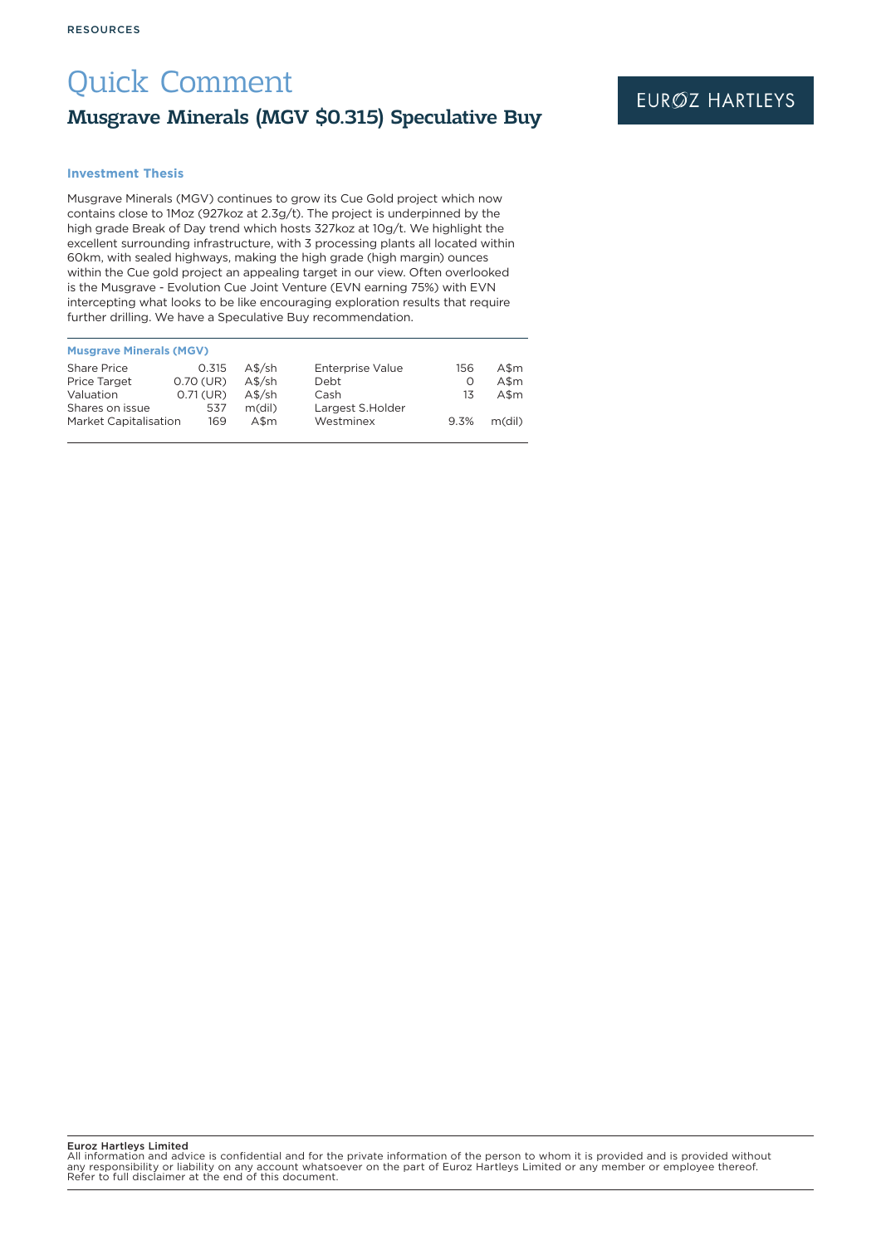# Quick Comment Musgrave Minerals (MGV \$0.315) Speculative Buy

### **Investment Thesis**

Musgrave Minerals (MGV) continues to grow its Cue Gold project which now contains close to 1Moz (927koz at 2.3g/t). The project is underpinned by the high grade Break of Day trend which hosts 327koz at 10g/t. We highlight the excellent surrounding infrastructure, with 3 processing plants all located within 60km, with sealed highways, making the high grade (high margin) ounces within the Cue gold project an appealing target in our view. Often overlooked is the Musgrave - Evolution Cue Joint Venture (EVN earning 75%) with EVN intercepting what looks to be like encouraging exploration results that require further drilling. We have a Speculative Buy recommendation.

| <b>Musgrave Minerals (MGV)</b> |             |          |                         |      |        |
|--------------------------------|-------------|----------|-------------------------|------|--------|
| <b>Share Price</b>             | 0.315       | $A$$ /sh | <b>Enterprise Value</b> | 156  | A\$m   |
| <b>Price Target</b>            | 0.70 (UR)   | $A$$ /sh | Debt                    | Ο    | $A\$ m |
| Valuation                      | $0.71$ (UR) | $A$$ /sh | Cash                    | 13   | $A\$ m |
| Shares on issue                | 537         | m(dil)   | Largest S.Holder        |      |        |
| <b>Market Capitalisation</b>   | 169         | A\$m     | Westminex               | 9.3% | m(dil) |
|                                |             |          |                         |      |        |

Euroz Hartleys Limited

All information and advice is confidential and for the private information of the person to whom it is provided and is provided without<br>any responsibility or liability on any account whatsoever on the part of Euroz Hartley